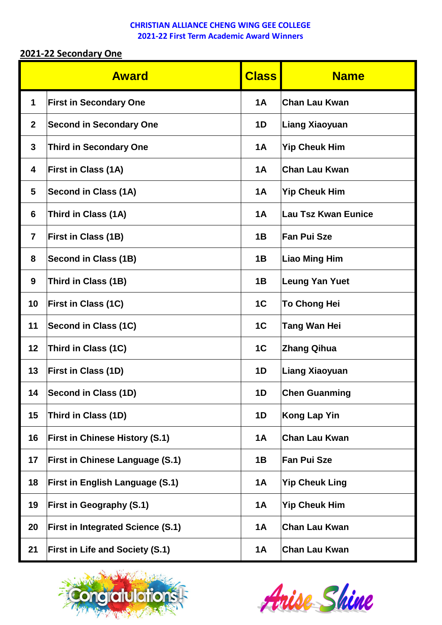## **2021-22 Secondary One**

| <b>Award</b>   |                                          | <b>Class</b>   | <b>Name</b>           |  |
|----------------|------------------------------------------|----------------|-----------------------|--|
| $\mathbf 1$    | <b>First in Secondary One</b>            | <b>1A</b>      | <b>Chan Lau Kwan</b>  |  |
| $\mathbf{2}$   | <b>Second in Secondary One</b>           | 1D             | Liang Xiaoyuan        |  |
| 3              | <b>Third in Secondary One</b>            | <b>1A</b>      | <b>Yip Cheuk Him</b>  |  |
| 4              | <b>First in Class (1A)</b>               | <b>1A</b>      | <b>Chan Lau Kwan</b>  |  |
| 5              | Second in Class (1A)                     | <b>1A</b>      | <b>Yip Cheuk Him</b>  |  |
| 6              | Third in Class (1A)                      | <b>1A</b>      | Lau Tsz Kwan Eunice   |  |
| $\overline{7}$ | <b>First in Class (1B)</b>               | 1B             | <b>Fan Pui Sze</b>    |  |
| 8              | <b>Second in Class (1B)</b>              | 1B             | Liao Ming Him         |  |
| 9              | Third in Class (1B)                      | 1B             | Leung Yan Yuet        |  |
| 10             | <b>First in Class (1C)</b>               | 1 <sub>C</sub> | <b>To Chong Hei</b>   |  |
| 11             | Second in Class (1C)                     | 1 <sub>C</sub> | <b>Tang Wan Hei</b>   |  |
| 12             | Third in Class (1C)                      | 1 <sub>C</sub> | <b>Zhang Qihua</b>    |  |
| 13             | <b>First in Class (1D)</b>               | 1D             | Liang Xiaoyuan        |  |
| 14             | Second in Class (1D)                     | 1D             | <b>Chen Guanming</b>  |  |
| 15             | Third in Class (1D)                      | 1D             | <b>Kong Lap Yin</b>   |  |
| 16             | <b>First in Chinese History (S.1)</b>    | <b>1A</b>      | <b>Chan Lau Kwan</b>  |  |
| 17             | <b>First in Chinese Language (S.1)</b>   | 1B             | <b>Fan Pui Sze</b>    |  |
| 18             | <b>First in English Language (S.1)</b>   | 1A             | <b>Yip Cheuk Ling</b> |  |
| 19             | <b>First in Geography (S.1)</b>          | <b>1A</b>      | <b>Yip Cheuk Him</b>  |  |
| 20             | <b>First in Integrated Science (S.1)</b> | <b>1A</b>      | <b>Chan Lau Kwan</b>  |  |
| 21             | <b>First in Life and Society (S.1)</b>   | <b>1A</b>      | <b>Chan Lau Kwan</b>  |  |



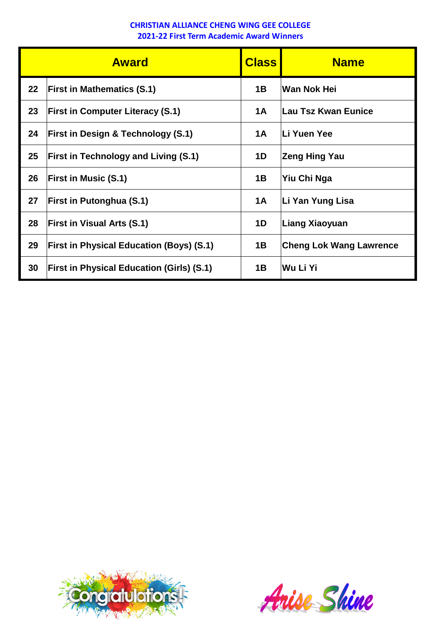| <b>Award</b> |                                                  | <b>Class</b> | <b>Name</b>                    |  |  |
|--------------|--------------------------------------------------|--------------|--------------------------------|--|--|
| 22           | <b>First in Mathematics (S.1)</b>                | 1B           | Wan Nok Hei                    |  |  |
| 23           | <b>First in Computer Literacy (S.1)</b>          | <b>1A</b>    | Lau Tsz Kwan Eunice            |  |  |
| 24           | <b>First in Design &amp; Technology (S.1)</b>    | 1A           | <b>Li Yuen Yee</b>             |  |  |
| 25           | <b>First in Technology and Living (S.1)</b>      | 1D           | Zeng Hing Yau                  |  |  |
| 26           | <b>First in Music (S.1)</b>                      | 1B           | Yiu Chi Nga                    |  |  |
| 27           | <b>First in Putonghua (S.1)</b>                  | <b>1A</b>    | ∣Li Yan Yung Lisa              |  |  |
| 28           | <b>First in Visual Arts (S.1)</b>                | 1D           | Liang Xiaoyuan                 |  |  |
| 29           | <b>First in Physical Education (Boys) (S.1)</b>  | 1B           | <b>Cheng Lok Wang Lawrence</b> |  |  |
| 30           | <b>First in Physical Education (Girls) (S.1)</b> | 1B           | Wu Li Yi                       |  |  |



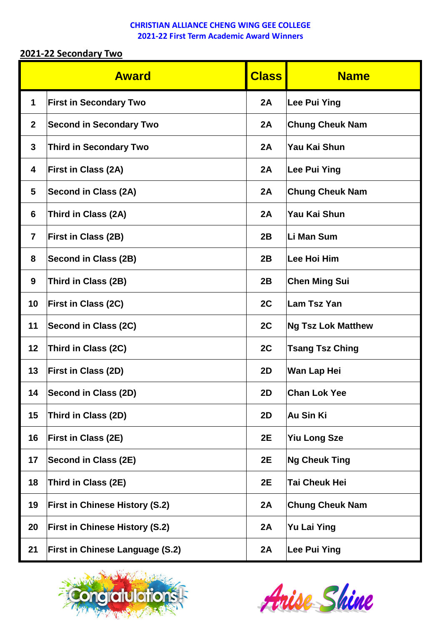## **2021-22 Secondary Two**

|                | <b>Award</b>                           |    | <b>Name</b>               |  |  |
|----------------|----------------------------------------|----|---------------------------|--|--|
| $\mathbf 1$    | <b>First in Secondary Two</b>          | 2A | Lee Pui Ying              |  |  |
| $\mathbf{2}$   | <b>Second in Secondary Two</b>         | 2A | <b>Chung Cheuk Nam</b>    |  |  |
| 3              | <b>Third in Secondary Two</b>          | 2A | Yau Kai Shun              |  |  |
| 4              | <b>First in Class (2A)</b>             | 2A | Lee Pui Ying              |  |  |
| 5              | Second in Class (2A)                   | 2A | <b>Chung Cheuk Nam</b>    |  |  |
| 6              | Third in Class (2A)                    | 2A | <b>Yau Kai Shun</b>       |  |  |
| $\overline{7}$ | <b>First in Class (2B)</b>             | 2B | Li Man Sum                |  |  |
| 8              | <b>Second in Class (2B)</b>            | 2B | Lee Hoi Him               |  |  |
| 9              | Third in Class (2B)                    | 2B | <b>Chen Ming Sui</b>      |  |  |
| 10             | <b>First in Class (2C)</b>             | 2C | <b>Lam Tsz Yan</b>        |  |  |
| 11             | Second in Class (2C)                   | 2C | <b>Ng Tsz Lok Matthew</b> |  |  |
| 12             | Third in Class (2C)                    | 2C | <b>Tsang Tsz Ching</b>    |  |  |
| 13             | <b>First in Class (2D)</b>             | 2D | <b>Wan Lap Hei</b>        |  |  |
| 14             | Second in Class (2D)                   | 2D | <b>Chan Lok Yee</b>       |  |  |
| 15             | Third in Class (2D)                    | 2D | <b>Au Sin Ki</b>          |  |  |
| 16             | <b>First in Class (2E)</b>             | 2E | <b>Yiu Long Sze</b>       |  |  |
| 17             | Second in Class (2E)                   | 2E | <b>Ng Cheuk Ting</b>      |  |  |
| 18             | Third in Class (2E)                    | 2E | <b>Tai Cheuk Hei</b>      |  |  |
| 19             | <b>First in Chinese History (S.2)</b>  | 2A | <b>Chung Cheuk Nam</b>    |  |  |
| 20             | <b>First in Chinese History (S.2)</b>  | 2A | <b>Yu Lai Ying</b>        |  |  |
| 21             | <b>First in Chinese Language (S.2)</b> | 2A | Lee Pui Ying              |  |  |



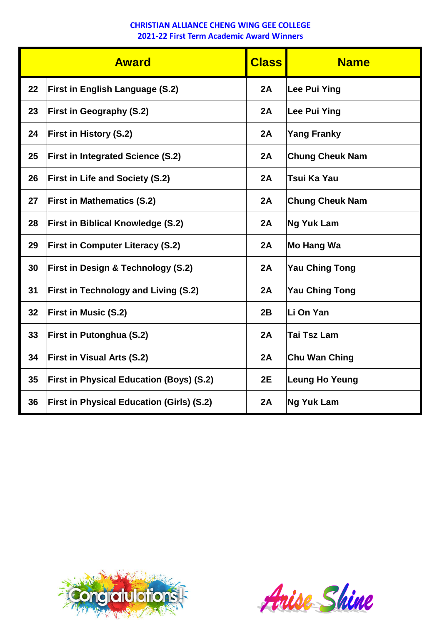|    | <b>Class</b><br><b>Award</b>                     |    | <b>Name</b>            |  |  |
|----|--------------------------------------------------|----|------------------------|--|--|
| 22 | <b>First in English Language (S.2)</b>           | 2A | <b>Lee Pui Ying</b>    |  |  |
| 23 | <b>First in Geography (S.2)</b>                  | 2A | <b>Lee Pui Ying</b>    |  |  |
| 24 | <b>First in History (S.2)</b>                    | 2A | <b>Yang Franky</b>     |  |  |
| 25 | <b>First in Integrated Science (S.2)</b>         | 2A | <b>Chung Cheuk Nam</b> |  |  |
| 26 | <b>First in Life and Society (S.2)</b>           | 2A | Tsui Ka Yau            |  |  |
| 27 | <b>First in Mathematics (S.2)</b>                | 2A | <b>Chung Cheuk Nam</b> |  |  |
| 28 | <b>First in Biblical Knowledge (S.2)</b>         | 2A | <b>Ng Yuk Lam</b>      |  |  |
| 29 | <b>First in Computer Literacy (S.2)</b>          | 2A | <b>Mo Hang Wa</b>      |  |  |
| 30 | <b>First in Design &amp; Technology (S.2)</b>    | 2A | <b>Yau Ching Tong</b>  |  |  |
| 31 | <b>First in Technology and Living (S.2)</b>      | 2A | <b>Yau Ching Tong</b>  |  |  |
| 32 | <b>First in Music (S.2)</b>                      | 2B | Li On Yan              |  |  |
| 33 | <b>First in Putonghua (S.2)</b>                  | 2A | <b>Tai Tsz Lam</b>     |  |  |
| 34 | <b>First in Visual Arts (S.2)</b>                | 2A | <b>Chu Wan Ching</b>   |  |  |
| 35 | <b>First in Physical Education (Boys) (S.2)</b>  | 2E | <b>Leung Ho Yeung</b>  |  |  |
| 36 | <b>First in Physical Education (Girls) (S.2)</b> | 2A | <b>Ng Yuk Lam</b>      |  |  |



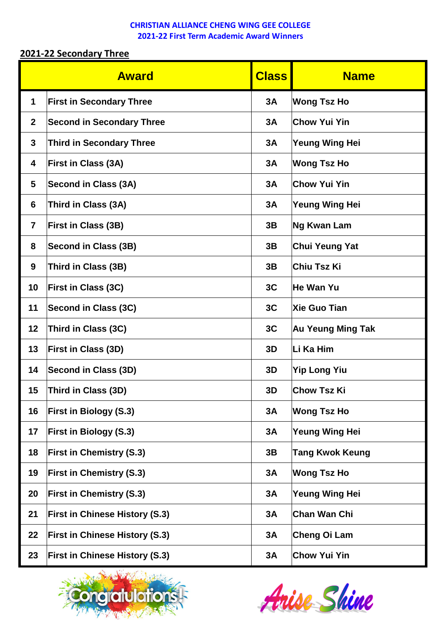## **2021-22 Secondary Three**

|                         | <b>Award</b>                          |    | <b>Name</b>              |
|-------------------------|---------------------------------------|----|--------------------------|
| $\mathbf 1$             | <b>First in Secondary Three</b>       | 3A | <b>Wong Tsz Ho</b>       |
| $\mathbf{2}$            | <b>Second in Secondary Three</b>      | 3A | <b>Chow Yui Yin</b>      |
| 3                       | <b>Third in Secondary Three</b>       | 3A | <b>Yeung Wing Hei</b>    |
| 4                       | <b>First in Class (3A)</b>            | 3A | <b>Wong Tsz Ho</b>       |
| 5                       | Second in Class (3A)                  | 3A | <b>Chow Yui Yin</b>      |
| 6                       | Third in Class (3A)                   | 3A | <b>Yeung Wing Hei</b>    |
| $\overline{\mathbf{r}}$ | <b>First in Class (3B)</b>            | 3B | <b>Ng Kwan Lam</b>       |
| 8                       | Second in Class (3B)                  | 3B | <b>Chui Yeung Yat</b>    |
| 9                       | Third in Class (3B)                   | 3B | <b>Chiu Tsz Ki</b>       |
| 10                      | <b>First in Class (3C)</b>            | 3C | <b>He Wan Yu</b>         |
| 11                      | Second in Class (3C)                  | 3C | <b>Xie Guo Tian</b>      |
| 12                      | Third in Class (3C)                   | 3C | <b>Au Yeung Ming Tak</b> |
| 13                      | <b>First in Class (3D)</b>            | 3D | Li Ka Him                |
| 14                      | Second in Class (3D)                  | 3D | <b>Yip Long Yiu</b>      |
| 15                      | Third in Class (3D)                   | 3D | <b>Chow Tsz Ki</b>       |
| 16                      | <b>First in Biology (S.3)</b>         | 3A | <b>Wong Tsz Ho</b>       |
| 17                      | <b>First in Biology (S.3)</b>         | 3A | <b>Yeung Wing Hei</b>    |
| 18                      | <b>First in Chemistry (S.3)</b>       | 3B | <b>Tang Kwok Keung</b>   |
| 19                      | <b>First in Chemistry (S.3)</b>       | 3A | <b>Wong Tsz Ho</b>       |
| 20                      | <b>First in Chemistry (S.3)</b>       | 3A | <b>Yeung Wing Hei</b>    |
| 21                      | <b>First in Chinese History (S.3)</b> | 3A | <b>Chan Wan Chi</b>      |
| 22                      | <b>First in Chinese History (S.3)</b> | 3A | Cheng Oi Lam             |
| 23                      | <b>First in Chinese History (S.3)</b> | 3A | <b>Chow Yui Yin</b>      |



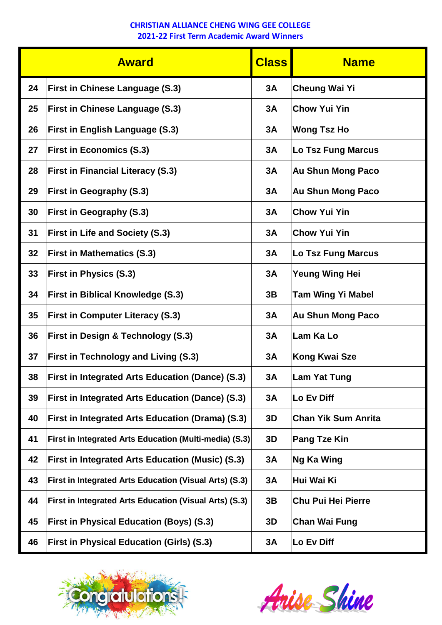| <b>Award</b> |                                                               | <b>Class</b> | <b>Name</b>                |  |
|--------------|---------------------------------------------------------------|--------------|----------------------------|--|
| 24           | <b>First in Chinese Language (S.3)</b>                        | 3A           | <b>Cheung Wai Yi</b>       |  |
| 25           | <b>First in Chinese Language (S.3)</b>                        | 3A           | <b>Chow Yui Yin</b>        |  |
| 26           | <b>First in English Language (S.3)</b>                        | 3A           | <b>Wong Tsz Ho</b>         |  |
| 27           | <b>First in Economics (S.3)</b>                               | 3A           | <b>Lo Tsz Fung Marcus</b>  |  |
| 28           | <b>First in Financial Literacy (S.3)</b>                      | 3A           | <b>Au Shun Mong Paco</b>   |  |
| 29           | <b>First in Geography (S.3)</b>                               | 3A           | <b>Au Shun Mong Paco</b>   |  |
| 30           | <b>First in Geography (S.3)</b>                               | 3A           | <b>Chow Yui Yin</b>        |  |
| 31           | <b>First in Life and Society (S.3)</b>                        | 3A           | <b>Chow Yui Yin</b>        |  |
| 32           | <b>First in Mathematics (S.3)</b>                             | 3A           | <b>Lo Tsz Fung Marcus</b>  |  |
| 33           | <b>First in Physics (S.3)</b>                                 | 3A           | <b>Yeung Wing Hei</b>      |  |
| 34           | <b>First in Biblical Knowledge (S.3)</b>                      | 3B           | <b>Tam Wing Yi Mabel</b>   |  |
| 35           | <b>First in Computer Literacy (S.3)</b>                       | 3A           | <b>Au Shun Mong Paco</b>   |  |
| 36           | <b>First in Design &amp; Technology (S.3)</b>                 | 3A           | Lam Ka Lo                  |  |
| 37           | <b>First in Technology and Living (S.3)</b>                   | 3A           | <b>Kong Kwai Sze</b>       |  |
| 38           | <b>First in Integrated Arts Education (Dance) (S.3)</b>       | 3A           | Lam Yat Tung               |  |
| 39           | <b>First in Integrated Arts Education (Dance) (S.3)</b>       | 3A           | Lo Ev Diff                 |  |
| 40           | <b>First in Integrated Arts Education (Drama) (S.3)</b>       | 3D           | <b>Chan Yik Sum Anrita</b> |  |
| 41           | <b>First in Integrated Arts Education (Multi-media) (S.3)</b> | 3D           | <b>Pang Tze Kin</b>        |  |
| 42           | <b>First in Integrated Arts Education (Music) (S.3)</b>       | 3A           | Ng Ka Wing                 |  |
| 43           | <b>First in Integrated Arts Education (Visual Arts) (S.3)</b> | 3A           | Hui Wai Ki                 |  |
| 44           | <b>First in Integrated Arts Education (Visual Arts) (S.3)</b> | 3B           | <b>Chu Pui Hei Pierre</b>  |  |
| 45           | <b>First in Physical Education (Boys) (S.3)</b>               | 3D           | <b>Chan Wai Fung</b>       |  |
| 46           | <b>First in Physical Education (Girls) (S.3)</b>              | 3A           | Lo Ev Diff                 |  |



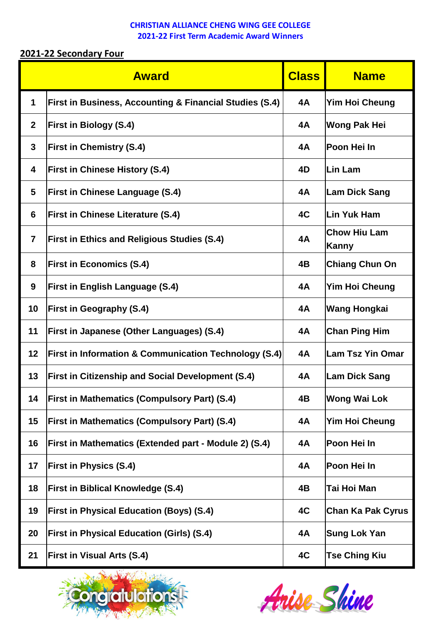# **2021-22 Secondary Four**

|                | <b>Award</b>                                                       | <b>Class</b> | <b>Name</b>                  |
|----------------|--------------------------------------------------------------------|--------------|------------------------------|
| $\mathbf 1$    | <b>First in Business, Accounting &amp; Financial Studies (S.4)</b> | 4A           | <b>Yim Hoi Cheung</b>        |
| $\mathbf{2}$   | <b>First in Biology (S.4)</b>                                      | <b>4A</b>    | <b>Wong Pak Hei</b>          |
| 3              | <b>First in Chemistry (S.4)</b>                                    | 4A           | Poon Hei In                  |
| 4              | <b>First in Chinese History (S.4)</b>                              | 4D           | Lin Lam                      |
| 5              | <b>First in Chinese Language (S.4)</b>                             | 4A           | <b>Lam Dick Sang</b>         |
| 6              | <b>First in Chinese Literature (S.4)</b>                           | 4C           | <b>Lin Yuk Ham</b>           |
| $\overline{7}$ | <b>First in Ethics and Religious Studies (S.4)</b>                 | <b>4A</b>    | <b>Chow Hiu Lam</b><br>Kanny |
| 8              | <b>First in Economics (S.4)</b>                                    | 4B           | <b>Chiang Chun On</b>        |
| 9              | <b>First in English Language (S.4)</b>                             | 4A           | Yim Hoi Cheung               |
| 10             | <b>First in Geography (S.4)</b>                                    | 4A           | <b>Wang Hongkai</b>          |
| 11             | <b>First in Japanese (Other Languages) (S.4)</b>                   | 4A           | <b>Chan Ping Him</b>         |
| 12             | <b>First in Information &amp; Communication Technology (S.4)</b>   | 4A           | <b>Lam Tsz Yin Omar</b>      |
| 13             | <b>First in Citizenship and Social Development (S.4)</b>           | <b>4A</b>    | <b>Lam Dick Sang</b>         |
| 14             | <b>First in Mathematics (Compulsory Part) (S.4)</b>                | 4B           | <b>Wong Wai Lok</b>          |
| 15             | <b>First in Mathematics (Compulsory Part) (S.4)</b>                | 4A           | Yim Hoi Cheung               |
| 16             | <b>First in Mathematics (Extended part - Module 2) (S.4)</b>       | 4A           | Poon Hei In                  |
| 17             | <b>First in Physics (S.4)</b>                                      | 4A           | Poon Hei In                  |
| 18             | <b>First in Biblical Knowledge (S.4)</b>                           | 4B           | Tai Hoi Man                  |
| 19             | <b>First in Physical Education (Boys) (S.4)</b>                    | 4C           | <b>Chan Ka Pak Cyrus</b>     |
| 20             | <b>First in Physical Education (Girls) (S.4)</b>                   | 4A           | <b>Sung Lok Yan</b>          |
| 21             | <b>First in Visual Arts (S.4)</b>                                  | 4C           | <b>Tse Ching Kiu</b>         |